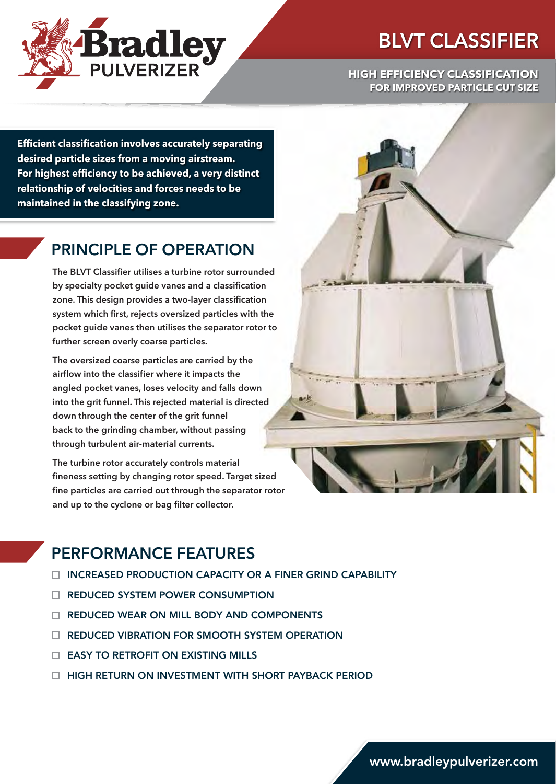

# BLVT CLASSIFIER

#### **HIGH EFFICIENCY CLASSIFICATION FOR IMPROVED PARTICLE CUT SIZE**

**Efficient classification involves accurately separating desired particle sizes from a moving airstream. For highest efficiency to be achieved, a very distinct relationship of velocities and forces needs to be maintained in the classifying zone.**

### PRINCIPLE OF OPERATION

The BLVT Classifier utilises a turbine rotor surrounded by specialty pocket guide vanes and a classification zone. This design provides a two-layer classification system which first, rejects oversized particles with the pocket guide vanes then utilises the separator rotor to further screen overly coarse particles.

The oversized coarse particles are carried by the airflow into the classifier where it impacts the angled pocket vanes, loses velocity and falls down into the grit funnel. This rejected material is directed down through the center of the grit funnel back to the grinding chamber, without passing through turbulent air-material currents.

The turbine rotor accurately controls material fineness setting by changing rotor speed. Target sized fine particles are carried out through the separator rotor and up to the cyclone or bag filter collector.

## PERFORMANCE FEATURES

- INCREASED PRODUCTION CAPACITY OR A FINER GRIND CAPABILITY
- □ REDUCED SYSTEM POWER CONSUMPTION
- □ REDUCED WEAR ON MILL BODY AND COMPONENTS
- **EXECUTED VIBRATION FOR SMOOTH SYSTEM OPERATION**
- $\Box$  EASY TO RETROFIT ON EXISTING MILLS
- **HIGH RETURN ON INVESTMENT WITH SHORT PAYBACK PERIOD**

www.bradleypulverizer.com